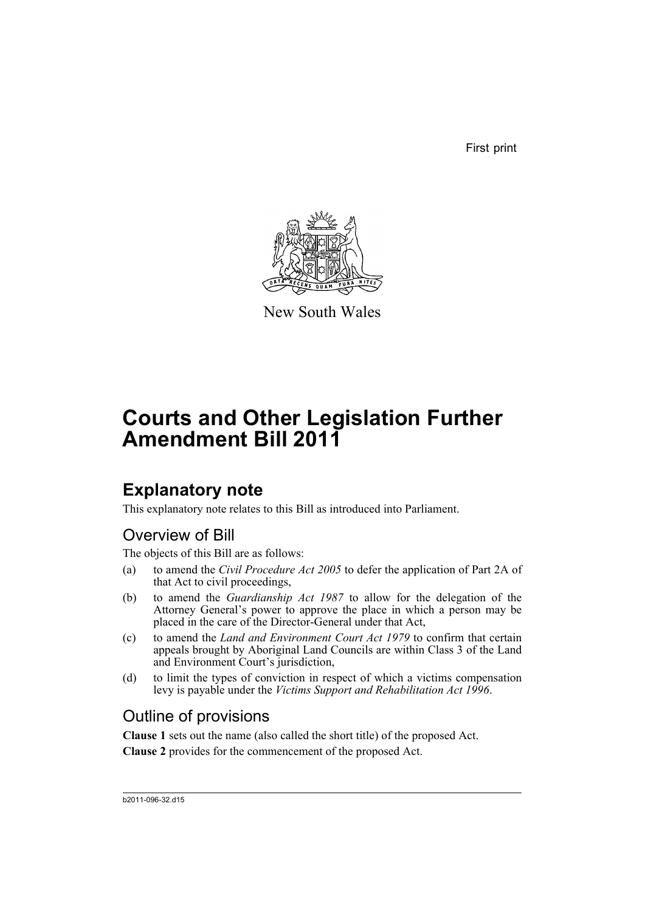First print



New South Wales

# **Courts and Other Legislation Further Amendment Bill 2011**

## **Explanatory note**

This explanatory note relates to this Bill as introduced into Parliament.

## Overview of Bill

The objects of this Bill are as follows:

- (a) to amend the *Civil Procedure Act 2005* to defer the application of Part 2A of that Act to civil proceedings,
- (b) to amend the *Guardianship Act 1987* to allow for the delegation of the Attorney General's power to approve the place in which a person may be placed in the care of the Director-General under that Act,
- (c) to amend the *Land and Environment Court Act 1979* to confirm that certain appeals brought by Aboriginal Land Councils are within Class 3 of the Land and Environment Court's jurisdiction,
- (d) to limit the types of conviction in respect of which a victims compensation levy is payable under the *Victims Support and Rehabilitation Act 1996*.

## Outline of provisions

**Clause 1** sets out the name (also called the short title) of the proposed Act.

**Clause 2** provides for the commencement of the proposed Act.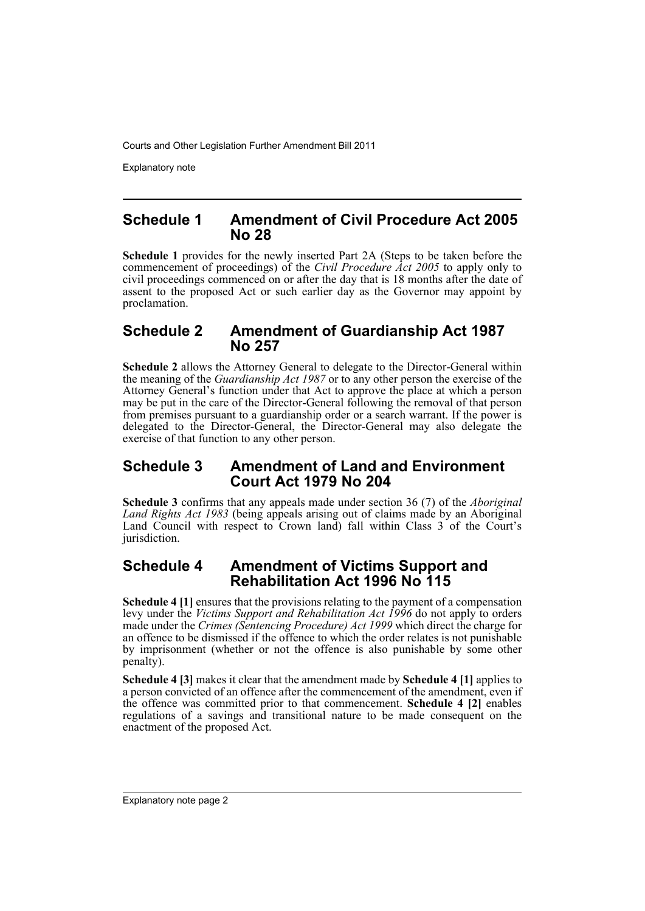Explanatory note

### **Schedule 1 Amendment of Civil Procedure Act 2005 No 28**

**Schedule 1** provides for the newly inserted Part 2A (Steps to be taken before the commencement of proceedings) of the *Civil Procedure Act 2005* to apply only to civil proceedings commenced on or after the day that is 18 months after the date of assent to the proposed Act or such earlier day as the Governor may appoint by proclamation.

## **Schedule 2 Amendment of Guardianship Act 1987 No 257**

**Schedule 2** allows the Attorney General to delegate to the Director-General within the meaning of the *Guardianship Act 1987* or to any other person the exercise of the Attorney General's function under that Act to approve the place at which a person may be put in the care of the Director-General following the removal of that person from premises pursuant to a guardianship order or a search warrant. If the power is delegated to the Director-General, the Director-General may also delegate the exercise of that function to any other person.

## **Schedule 3 Amendment of Land and Environment Court Act 1979 No 204**

**Schedule 3** confirms that any appeals made under section 36 (7) of the *Aboriginal Land Rights Act 1983* (being appeals arising out of claims made by an Aboriginal Land Council with respect to Crown land) fall within Class 3 of the Court's jurisdiction.

## **Schedule 4 Amendment of Victims Support and Rehabilitation Act 1996 No 115**

**Schedule 4 [1]** ensures that the provisions relating to the payment of a compensation levy under the *Victims Support and Rehabilitation Act 1996* do not apply to orders made under the *Crimes (Sentencing Procedure) Act 1999* which direct the charge for an offence to be dismissed if the offence to which the order relates is not punishable by imprisonment (whether or not the offence is also punishable by some other penalty).

**Schedule 4 [3]** makes it clear that the amendment made by **Schedule 4 [1]** applies to a person convicted of an offence after the commencement of the amendment, even if the offence was committed prior to that commencement. **Schedule 4 [2]** enables regulations of a savings and transitional nature to be made consequent on the enactment of the proposed Act.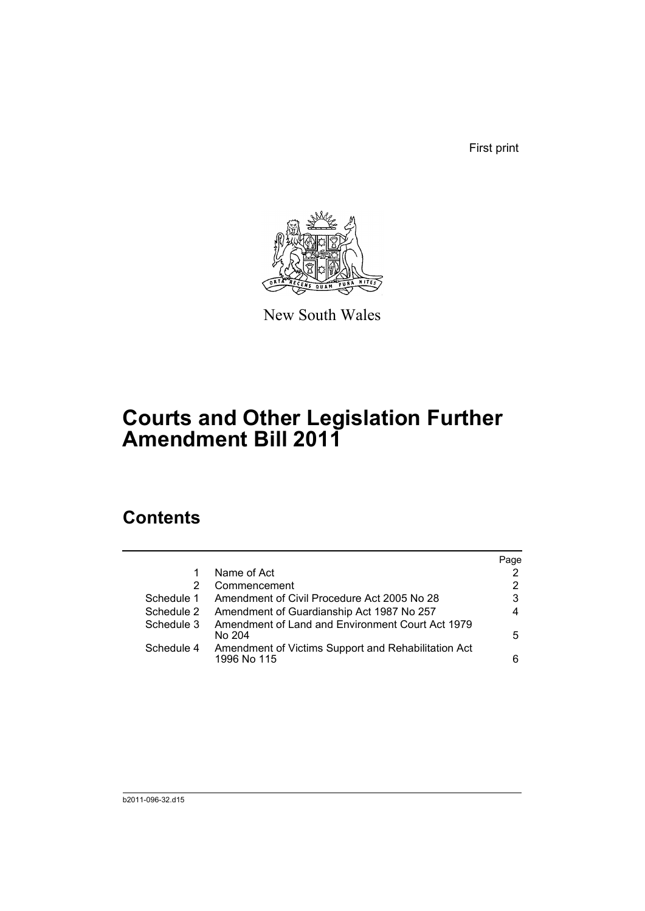First print



New South Wales

# **Courts and Other Legislation Further Amendment Bill 2011**

## **Contents**

|            |                                                                    | Page |
|------------|--------------------------------------------------------------------|------|
|            | Name of Act                                                        | 2    |
| 2          | Commencement                                                       | 2    |
| Schedule 1 | Amendment of Civil Procedure Act 2005 No 28                        | 3    |
| Schedule 2 | Amendment of Guardianship Act 1987 No 257                          | 4    |
| Schedule 3 | Amendment of Land and Environment Court Act 1979<br>No 204         | 5    |
| Schedule 4 | Amendment of Victims Support and Rehabilitation Act<br>1996 No 115 | 6    |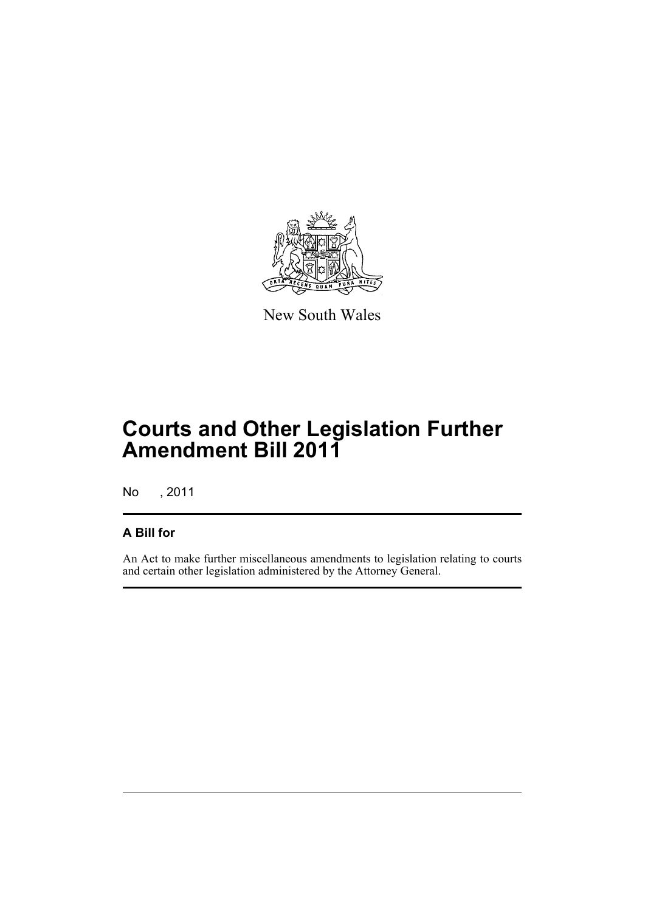

New South Wales

# **Courts and Other Legislation Further Amendment Bill 2011**

No , 2011

## **A Bill for**

An Act to make further miscellaneous amendments to legislation relating to courts and certain other legislation administered by the Attorney General.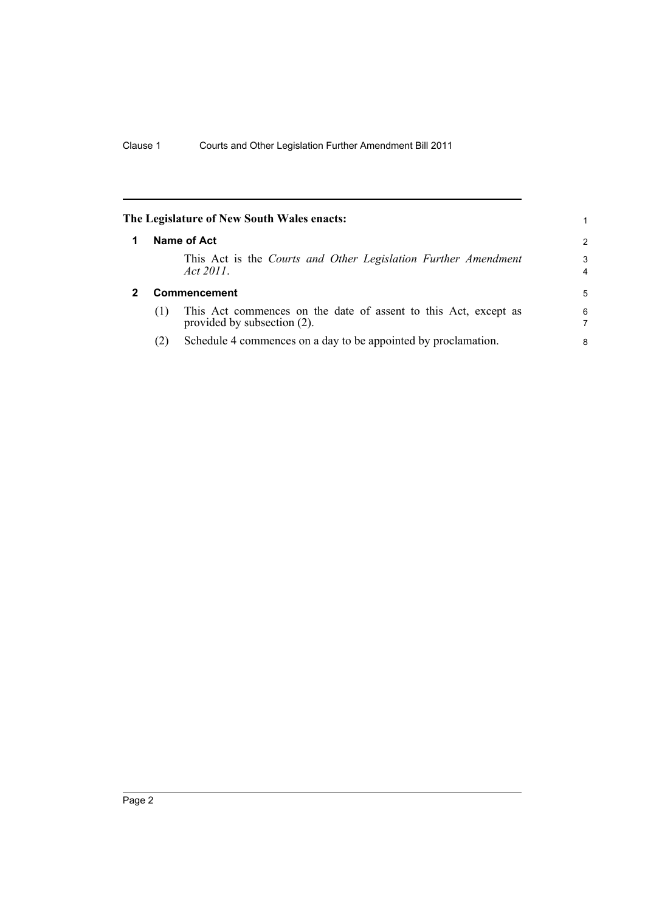<span id="page-5-1"></span><span id="page-5-0"></span>

|              |     | The Legislature of New South Wales enacts:                                                     |                     |
|--------------|-----|------------------------------------------------------------------------------------------------|---------------------|
|              |     | Name of Act                                                                                    | 2                   |
|              |     | This Act is the Courts and Other Legislation Further Amendment<br>Act $2011$ .                 | 3<br>$\overline{4}$ |
| $\mathbf{2}$ |     | <b>Commencement</b>                                                                            | 5                   |
|              | (1) | This Act commences on the date of assent to this Act, except as<br>provided by subsection (2). | 6                   |
|              | (2) | Schedule 4 commences on a day to be appointed by proclamation.                                 | 8                   |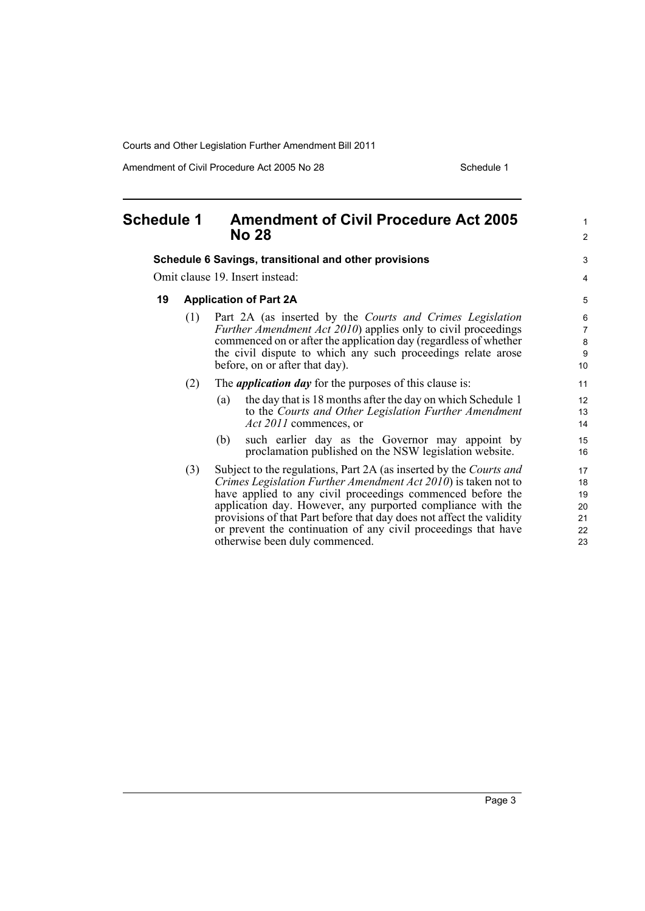Amendment of Civil Procedure Act 2005 No 28 Schedule 1

1 2

 $\overline{a}$ 4

#### <span id="page-6-0"></span>**Schedule 1 Amendment of Civil Procedure Act 2005 No 28**

#### **Schedule 6 Savings, transitional and other provisions**

Omit clause 19. Insert instead:

#### **19 Application of Part 2A**

- (1) Part 2A (as inserted by the *Courts and Crimes Legislation Further Amendment Act 2010*) applies only to civil proceedings commenced on or after the application day (regardless of whether the civil dispute to which any such proceedings relate arose before, on or after that day).
- (2) The *application day* for the purposes of this clause is:
	- (a) the day that is 18 months after the day on which Schedule 1 to the *Courts and Other Legislation Further Amendment Act 2011* commences, or
	- (b) such earlier day as the Governor may appoint by proclamation published on the NSW legislation website.
- (3) Subject to the regulations, Part 2A (as inserted by the *Courts and Crimes Legislation Further Amendment Act 2010*) is taken not to have applied to any civil proceedings commenced before the application day. However, any purported compliance with the provisions of that Part before that day does not affect the validity or prevent the continuation of any civil proceedings that have otherwise been duly commenced.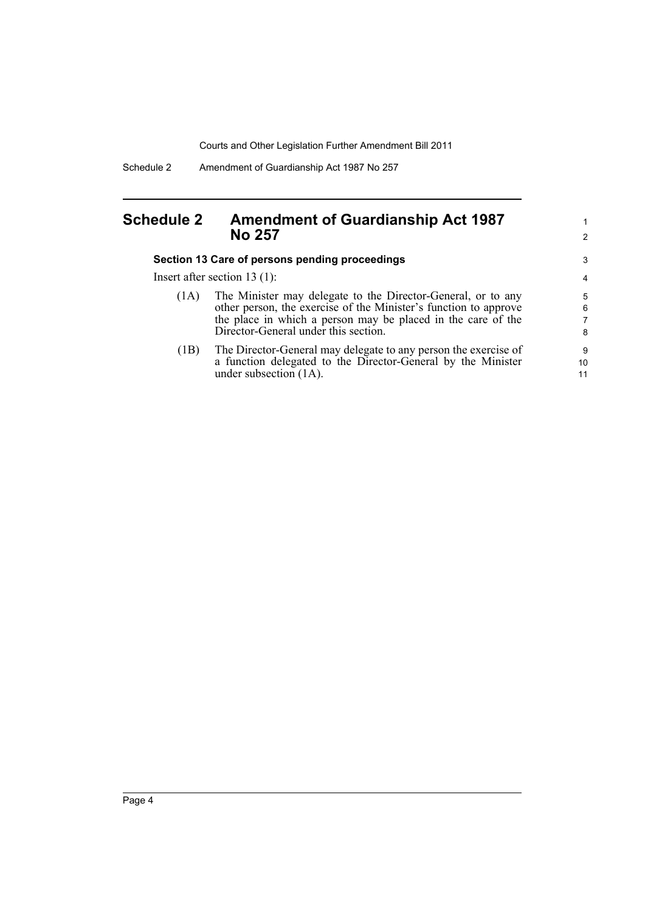Schedule 2 Amendment of Guardianship Act 1987 No 257

## <span id="page-7-0"></span>**Schedule 2 Amendment of Guardianship Act 1987 No 257**

#### **Section 13 Care of persons pending proceedings**

Insert after section 13 (1):

| (1A) | The Minister may delegate to the Director-General, or to any<br>other person, the exercise of the Minister's function to approve<br>the place in which a person may be placed in the care of the |
|------|--------------------------------------------------------------------------------------------------------------------------------------------------------------------------------------------------|
|      | Director-General under this section.                                                                                                                                                             |
|      |                                                                                                                                                                                                  |

1 2

(1B) The Director-General may delegate to any person the exercise of a function delegated to the Director-General by the Minister under subsection (1A).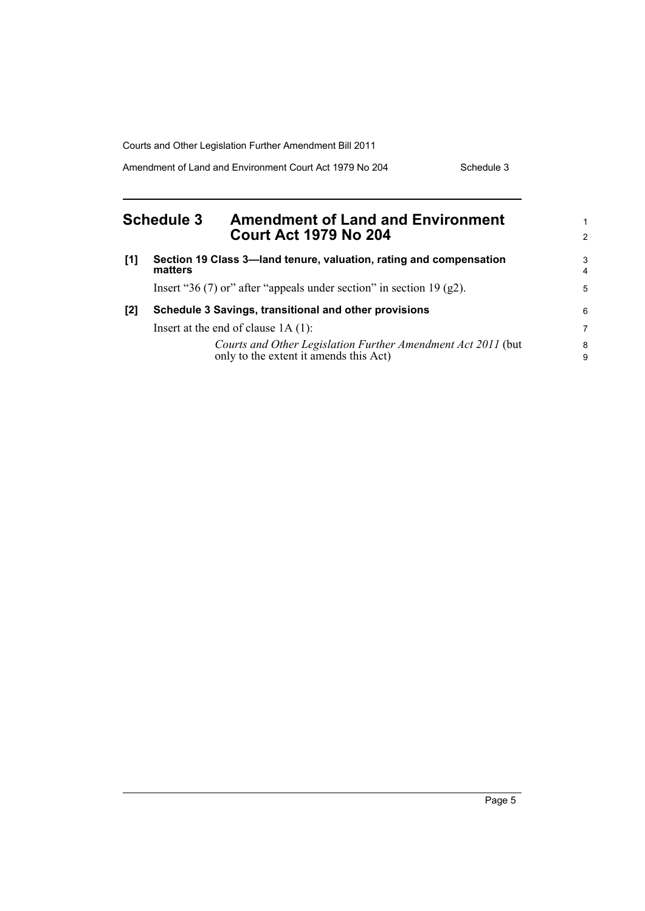Amendment of Land and Environment Court Act 1979 No 204 Schedule 3

<span id="page-8-0"></span>

| <b>Schedule 3</b> |         | <b>Amendment of Land and Environment</b>                                                               | 1      |
|-------------------|---------|--------------------------------------------------------------------------------------------------------|--------|
|                   |         | <b>Court Act 1979 No 204</b>                                                                           | 2      |
| [1]               | matters | Section 19 Class 3—land tenure, valuation, rating and compensation                                     | 3<br>4 |
|                   |         | Insert "36 (7) or" after "appeals under section" in section 19 (g2).                                   | 5      |
| [2]               |         | Schedule 3 Savings, transitional and other provisions                                                  | 6      |
|                   |         | Insert at the end of clause $1A(1)$ :                                                                  | 7      |
|                   |         | Courts and Other Legislation Further Amendment Act 2011 (but<br>only to the extent it amends this Act) | 8<br>9 |